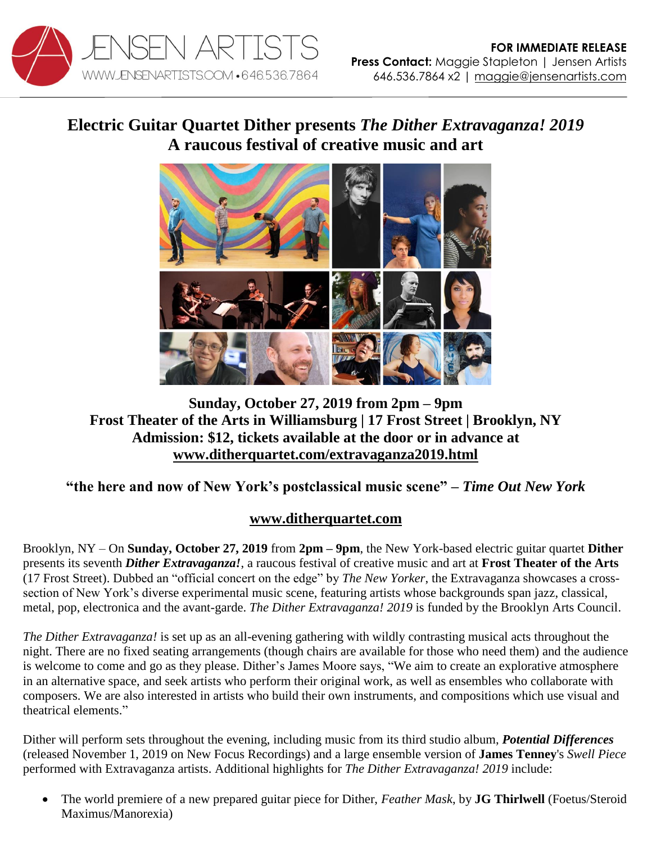

## **Electric Guitar Quartet Dither presents** *The Dither Extravaganza! 2019* **A raucous festival of creative music and art**



## **Sunday, October 27, 2019 from 2pm – 9pm Frost Theater of the Arts in Williamsburg | 17 Frost Street | Brooklyn, NY Admission: \$12, tickets available at the door or in advance at [www.ditherquartet.com/extravaganza2019.html](http://www.ditherquartet.com/extravaganza2019.html)**

## **"the here and now of New York's postclassical music scene" –** *Time Out New York*

## **[www.ditherquartet.com](http://www.ditherquartet.com/)**

Brooklyn, NY – On **Sunday, October 27, 2019** from **2pm – 9pm**, the New York-based electric guitar quartet **Dither** presents its seventh *Dither Extravaganza!*, a raucous festival of creative music and art at **Frost Theater of the Arts** (17 Frost Street). Dubbed an "official concert on the edge" by *The New Yorker*, the Extravaganza showcases a crosssection of New York's diverse experimental music scene, featuring artists whose backgrounds span jazz, classical, metal, pop, electronica and the avant-garde. *The Dither Extravaganza! 2019* is funded by the Brooklyn Arts Council.

*The Dither Extravaganza!* is set up as an all-evening gathering with wildly contrasting musical acts throughout the night. There are no fixed seating arrangements (though chairs are available for those who need them) and the audience is welcome to come and go as they please. Dither's James Moore says, "We aim to create an explorative atmosphere in an alternative space, and seek artists who perform their original work, as well as ensembles who collaborate with composers. We are also interested in artists who build their own instruments, and compositions which use visual and theatrical elements."

Dither will perform sets throughout the evening, including music from its third studio album, *Potential Differences* (released November 1, 2019 on New Focus Recordings) and a large ensemble version of **James Tenney**'s *Swell Piece* performed with Extravaganza artists. Additional highlights for *The Dither Extravaganza! 2019* include:

 The world premiere of a new prepared guitar piece for Dither, *Feather Mask*, by **JG Thirlwell** (Foetus/Steroid Maximus/Manorexia)